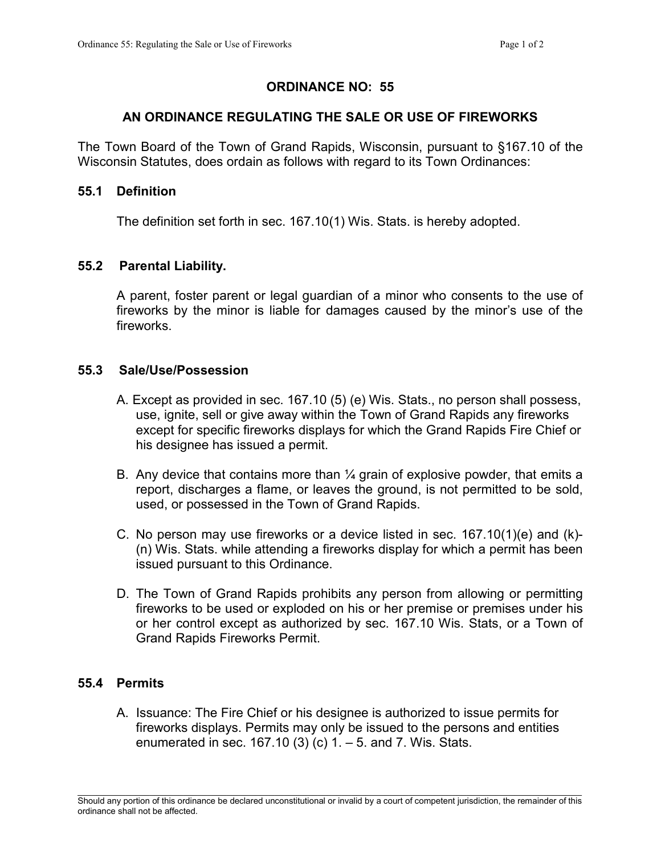# ORDINANCE NO: 55

## AN ORDINANCE REGULATING THE SALE OR USE OF FIREWORKS

The Town Board of the Town of Grand Rapids, Wisconsin, pursuant to §167.10 of the Wisconsin Statutes, does ordain as follows with regard to its Town Ordinances:

#### 55.1 Definition

The definition set forth in sec. 167.10(1) Wis. Stats. is hereby adopted.

#### 55.2 Parental Liability.

A parent, foster parent or legal guardian of a minor who consents to the use of fireworks by the minor is liable for damages caused by the minor's use of the fireworks.

## 55.3 Sale/Use/Possession

- A. Except as provided in sec. 167.10 (5) (e) Wis. Stats., no person shall possess, use, ignite, sell or give away within the Town of Grand Rapids any fireworks except for specific fireworks displays for which the Grand Rapids Fire Chief or his designee has issued a permit.
- B. Any device that contains more than  $\frac{1}{4}$  grain of explosive powder, that emits a report, discharges a flame, or leaves the ground, is not permitted to be sold, used, or possessed in the Town of Grand Rapids.
- C. No person may use fireworks or a device listed in sec. 167.10(1)(e) and (k)- (n) Wis. Stats. while attending a fireworks display for which a permit has been issued pursuant to this Ordinance.
- D. The Town of Grand Rapids prohibits any person from allowing or permitting fireworks to be used or exploded on his or her premise or premises under his or her control except as authorized by sec. 167.10 Wis. Stats, or a Town of Grand Rapids Fireworks Permit.

## 55.4 Permits

A. Issuance: The Fire Chief or his designee is authorized to issue permits for fireworks displays. Permits may only be issued to the persons and entities enumerated in sec.  $167.10(3)(c)$  1.  $-5$ . and 7. Wis. Stats.